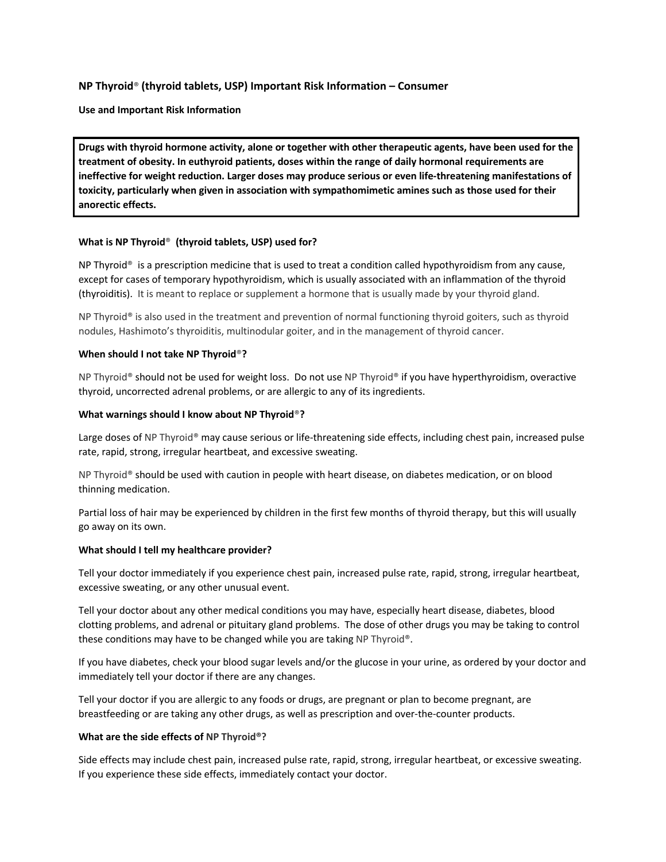## **NP Thyroid**® **(thyroid tablets, USP) Important Risk Information – Consumer**

**Use and Important Risk Information**

**Drugs with thyroid hormone activity, alone or together with other therapeutic agents, have been used for the treatment of obesity. In euthyroid patients, doses within the range of daily hormonal requirements are ineffective for weight reduction. Larger doses may produce serious or even life-threatening manifestations of toxicity, particularly when given in association with sympathomimetic amines such as those used for their anorectic effects.**

### **What is NP Thyroid**® **(thyroid tablets, USP) used for?**

NP Thyroid<sup>®</sup> is a prescription medicine that is used to treat a condition called hypothyroidism from any cause, except for cases of temporary hypothyroidism, which is usually associated with an inflammation of the thyroid (thyroiditis). It is meant to replace or supplement a hormone that is usually made by your thyroid gland.

NP Thyroid® is also used in the treatment and prevention of normal functioning thyroid goiters, such as thyroid nodules, Hashimoto's thyroiditis, multinodular goiter, and in the management of thyroid cancer.

### **When should I not take NP Thyroid**®**?**

NP Thyroid® should not be used for weight loss. Do not use NP Thyroid® if you have hyperthyroidism, overactive thyroid, uncorrected adrenal problems, or are allergic to any of its ingredients.

### **What warnings should I know about NP Thyroid**®**?**

Large doses of NP Thyroid® may cause serious or life-threatening side effects, including chest pain, increased pulse rate, rapid, strong, irregular heartbeat, and excessive sweating.

NP Thyroid® should be used with caution in people with heart disease, on diabetes medication, or on blood thinning medication.

Partial loss of hair may be experienced by children in the first few months of thyroid therapy, but this will usually go away on its own.

#### **What should I tell my healthcare provider?**

Tell your doctor immediately if you experience chest pain, increased pulse rate, rapid, strong, irregular heartbeat, excessive sweating, or any other unusual event.

Tell your doctor about any other medical conditions you may have, especially heart disease, diabetes, blood clotting problems, and adrenal or pituitary gland problems. The dose of other drugs you may be taking to control these conditions may have to be changed while you are taking NP Thyroid®.

If you have diabetes, check your blood sugar levels and/or the glucose in your urine, as ordered by your doctor and immediately tell your doctor if there are any changes.

Tell your doctor if you are allergic to any foods or drugs, are pregnant or plan to become pregnant, are breastfeeding or are taking any other drugs, as well as prescription and over-the-counter products.

### **What are the side effects of NP Thyroid®?**

Side effects may include chest pain, increased pulse rate, rapid, strong, irregular heartbeat, or excessive sweating. If you experience these side effects, immediately contact your doctor.